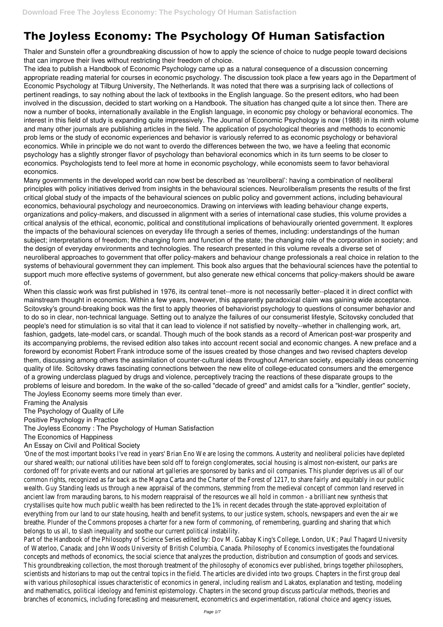## **The Joyless Economy: The Psychology Of Human Satisfaction**

Thaler and Sunstein offer a groundbreaking discussion of how to apply the science of choice to nudge people toward decisions that can improve their lives without restricting their freedom of choice.

The idea to publish a Handbook of Economic Psychology came up as a natural consequence of a discussion concerning appropriate reading material for courses in economic psychology. The discussion took place a few years ago in the Department of Economic Psychology at Tilburg University, The Netherlands. It was noted that there was a surprising lack of collections of pertinent readings, to say nothing about the lack of textbooks in the English language. So the present editors, who had been involved in the discussion, decided to start working on a Handbook. The situation has changed quite a lot since then. There are now a number of books, internationally available in the English language, in economic psy chology or behavioral economics. The interest in this field of study is expanding quite impressively. The Journal of Economic Psychology is now (1988) in its ninth volume and many other journals are publishing articles in the field. The application of psychological theories and methods to economic prob lems or the study of economic experiences and behavior is variously referred to as economic psychology or behavioral economics. While in principle we do not want to overdo the differences between the two, we have a feeling that economic psychology has a slightly stronger flavor of psychology than behavioral economics which in its turn seems to be closer to economics. Psychologists tend to feel more at home in economic psychology, while economists seem to favor behavioral economics.

Many governments in the developed world can now best be described as 'neuroliberal': having a combination of neoliberal principles with policy initiatives derived from insights in the behavioural sciences. Neuroliberalism presents the results of the first critical global study of the impacts of the behavioural sciences on public policy and government actions, including behavioural economics, behavioural psychology and neuroeconomics. Drawing on interviews with leading behaviour change experts, organizations and policy-makers, and discussed in alignment with a series of international case studies, this volume provides a critical analysis of the ethical, economic, political and constitutional implications of behaviourally oriented government. It explores the impacts of the behavioural sciences on everyday life through a series of themes, including: understandings of the human subject; interpretations of freedom; the changing form and function of the state; the changing role of the corporation in society; and the design of everyday environments and technologies. The research presented in this volume reveals a diverse set of neuroliberal approaches to government that offer policy-makers and behaviour change professionals a real choice in relation to the systems of behavioural government they can implement. This book also argues that the behavioural sciences have the potential to support much more effective systems of government, but also generate new ethical concerns that policy-makers should be aware of.

When this classic work was first published in 1976, its central tenet--more is not necessarily better--placed it in direct conflict with mainstream thought in economics. Within a few years, however, this apparently paradoxical claim was gaining wide acceptance. Scitovsky's ground-breaking book was the first to apply theories of behaviorist psychology to questions of consumer behavior and to do so in clear, non-technical language. Setting out to analyze the failures of our consumerist lifestyle, Scitovsky concluded that people's need for stimulation is so vital that it can lead to violence if not satisfied by novelty--whether in challenging work, art, fashion, gadgets, late-model cars, or scandal. Though much of the book stands as a record of American post-war prosperity and its accompanying problems, the revised edition also takes into account recent social and economic changes. A new preface and a foreword by economist Robert Frank introduce some of the issues created by those changes and two revised chapters develop them, discussing among others the assimilation of counter-cultural ideas throughout American society, especially ideas concerning quality of life. Scitovsky draws fascinating connections between the new elite of college-educated consumers and the emergence of a growing underclass plagued by drugs and violence, perceptively tracing the reactions of these disparate groups to the problems of leisure and boredom. In the wake of the so-called "decade of greed" and amidst calls for a "kindler, gentler" society, The Joyless Economy seems more timely than ever.

Framing the Analysis

The Psychology of Quality of Life

Positive Psychology in Practice

The Joyless Economy : The Psychology of Human Satisfaction

The Economics of Happiness

An Essay on Civil and Political Society

'One of the most important books I've read in years' Brian Eno We are losing the commons. Austerity and neoliberal policies have depleted our shared wealth; our national utilities have been sold off to foreign conglomerates, social housing is almost non-existent, our parks are cordoned off for private events and our national art galleries are sponsored by banks and oil companies. This plunder deprives us all of our common rights, recognized as far back as the Magna Carta and the Charter of the Forest of 1217, to share fairly and equitably in our public wealth. Guy Standing leads us through a new appraisal of the commons, stemming from the medieval concept of common land reserved in ancient law from marauding barons, to his modern reappraisal of the resources we all hold in common - a brilliant new synthesis that crystallises quite how much public wealth has been redirected to the 1% in recent decades through the state-approved exploitation of everything from our land to our state housing, health and benefit systems, to our justice system, schools, newspapers and even the air we breathe. Plunder of the Commons proposes a charter for a new form of commoning, of remembering, guarding and sharing that which belongs to us all, to slash inequality and soothe our current political instability. Part of the Handbook of the Philosophy of Science Series edited by: Dov M. Gabbay King's College, London, UK; Paul Thagard University of Waterloo, Canada; and John Woods University of British Columbia, Canada. Philosophy of Economics investigates the foundational concepts and methods of economics, the social science that analyzes the production, distribution and consumption of goods and services. This groundbreaking collection, the most thorough treatment of the philosophy of economics ever published, brings together philosophers, scientists and historians to map out the central topics in the field. The articles are divided into two groups. Chapters in the first group deal with various philosophical issues characteristic of economics in general, including realism and Lakatos, explanation and testing, modeling and mathematics, political ideology and feminist epistemology. Chapters in the second group discuss particular methods, theories and branches of economics, including forecasting and measurement, econometrics and experimentation, rational choice and agency issues,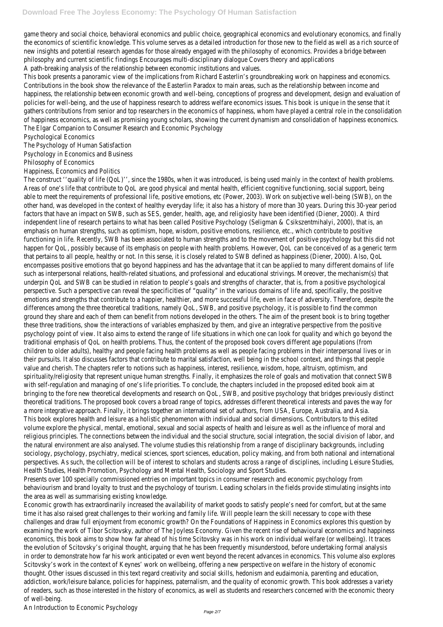game theory and social choice, behavioral economics and public choice, geographical economics and evolutionary economics, and finally the economics of scientific knowledge. This volume serves as a detailed introduction for those new to the field as well as a rich source of new insights and potential research agendas for those already engaged with the philosophy of economics. Provides a bridge between philosophy and current scientific findings Encourages multi-disciplinary dialogue Covers theory and applications

A path-breaking analysis of the relationship between economic institutions and values.

This book presents a panoramic view of the implications from Richard Easterlin's groundbreaking work on happiness and economics. Contributions in the book show the relevance of the Easterlin Paradox to main areas, such as the relationship between income and happiness, the relationship between economic growth and well-being, conceptions of progress and development, design and evaluation of policies for well-being, and the use of happiness research to address welfare economics issues. This book is unique in the sense that it gathers contributions from senior and top researchers in the economics of happiness, whom have played a central role in the consolidation of happiness economics, as well as promising young scholars, showing the current dynamism and consolidation of happiness economics. The Elgar Companion to Consumer Research and Economic Psychology

Psychological Economics

The Psychology of Human Satisfaction

Psychology in Economics and Business

Philosophy of Economics

Happiness, Economics and Politics

The construct ''quality of life (QoL)'', since the 1980s, when it was introduced, is being used mainly in the context of health problems. Areas of one's life that contribute to QoL are good physical and mental health, efficient cognitive functioning, social support, being able to meet the requirements of professional life, positive emotions, etc (Power, 2003). Work on subjective well-being (SWB), on the other hand, was developed in the context of healthy everyday life; it also has a history of more than 30 years. During this 30-year peric factors that have an impact on SWB, such as SES, gender, health, age, and religiosity have been identified (Diener, 2000). A third independent line of research pertains to what has been called Positive Psychology (Seligman & Csikszentmihalyi, 2000), that is, an emphasis on human strengths, such as optimism, hope, wisdom, positive emotions, resilience, etc., which contribute to positive functioning in life. Recently, SWB has been associated to human strengths and to the movement of positive psychology but this did not happen for QoL, possibly because of its emphasis on people with health problems. However, QoL can be conceived of as a generic term that pertains to all people, healthy or not. In this sense, it is closely related to SWB defined as happiness (Diener, 2000). Also, QoL encompasses positive emotions that go beyond happiness and has the advantage that it can be applied to many different domains of life such as interpersonal relations, health-related situations, and professional and educational strivings. Moreover, the mechanism(s) that underpin QoL and SWB can be studied in relation to people's goals and strengths of character, that is, from a positive psychological perspective. Such a perspective can reveal the specificities of "quality" in the various domains of life and, specifically, the positive emotions and strengths that contribute to a happier, healthier, and more successful life, even in face of adversity. Therefore, despite the differences among the three theoretical traditions, namely QoL, SWB, and positive psychology, it is possible to find the common ground they share and each of them can benefit from notions developed in the others. The aim of the present book is to bring together these three traditions, show the interactions of variables emphasized by them, and give an integrative perspective from the positive psychology point of view. It also aims to extend the range of life situations in which one can look for quality and which go beyond the traditional emphasis of QoL on health problems. Thus, the content of the proposed book covers different age populations (from children to older adults), healthy and people facing health problems as well as people facing problems in their interpersonal lives or in their pursuits. It also discusses factors that contribute to marital satisfaction, well being in the school context, and things that people value and cherish. The chapters refer to notions such as happiness, interest, resilience, wisdom, hope, altruism, optimism, and spirituality/religiosity that represent unique human strengths. Finally, it emphasizes the role of goals and motivation that connect SWB with self-regulation and managing of one's life priorities. To conclude, the chapters included in the proposed edited book aim at bringing to the fore new theoretical developments and research on QoL, SWB, and positive psychology that bridges previously distinct theoretical traditions. The proposed book covers a broad range of topics, addresses different theoretical interests and paves the way for a more integrative approach. Finally, it brings together an international set of authors, from USA, Europe, Australia, and Asia. This book explores health and leisure as a holistic phenomenon with individual and social dimensions. Contributors to this edited volume explore the physical, mental, emotional, sexual and social aspects of health and leisure as well as the influence of moral and religious principles. The connections between the individual and the social structure, social integration, the social division of labor, and the natural environment are also analysed. The volume studies this relationship from a range of disciplinary backgrounds, including sociology, psychology, psychiatry, medical sciences, sport sciences, education, policy making, and from both national and international perspectives. As such, the collection will be of interest to scholars and students across a range of disciplines, including Leisure Studies, Health Studies, Health Promotion, Psychology and Mental Health, Sociology and Sport Studies.

Presents over 100 specially commissioned entries on important topics in consumer research and economic psychology from behaviourism and brand loyalty to trust and the psychology of tourism. Leading scholars in the fields provide stimulating insights into the area as well as summarising existing knowledge.

Economic growth has extraordinarily increased the availability of market goods to satisfy people's need for comfort, but at the same time it has also raised great challenges to their working and family life. Will people learn the skill necessary to cope with these challenges and draw full enjoyment from economic growth? On the Foundations of Happiness in Economics explores this question by examining the work of Tibor Scitovsky, author of The Joyless Economy. Given the recent rise of behavioural economics and happiness economics, this book aims to show how far ahead of his time Scitovsky was in his work on individual welfare (or wellbeing). It traces the evolution of Scitovsky's original thought, arguing that he has been frequently misunderstood, before undertaking formal analysis in order to demonstrate how far his work anticipated or even went beyond the recent advances in economics. This volume also explores Scitovsky's work in the context of Keynes' work on wellbeing, offering a new perspective on welfare in the history of economic thought. Other issues discussed in this text regard creativity and social skills, hedonism and eudaimonia, parenting and education, addiction, work/leisure balance, policies for happiness, paternalism, and the quality of economic growth. This book addresses a variety of readers, such as those interested in the history of economics, as well as students and researchers concerned with the economic the of well-being.

An Introduction to Economic Psychology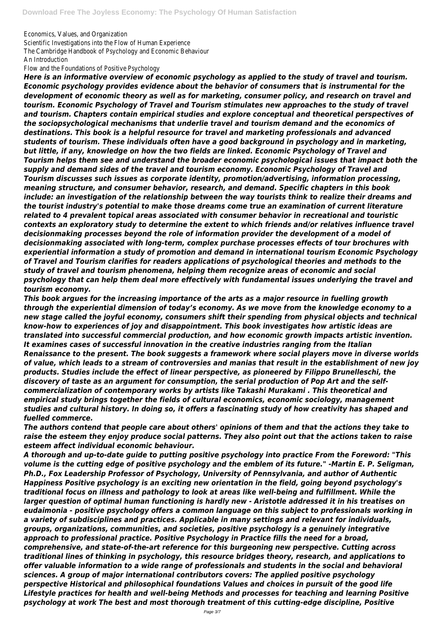Economics, Values, and Organization Scientific Investigations into the Flow of Human Experience The Cambridge Handbook of Psychology and Economic Behaviour An Introduction

Flow and the Foundations of Positive Psychology

*Here is an informative overview of economic psychology as applied to the study of travel and tourism. Economic psychology provides evidence about the behavior of consumers that is instrumental for the development of economic theory as well as for marketing, consumer policy, and research on travel and tourism. Economic Psychology of Travel and Tourism stimulates new approaches to the study of travel and tourism. Chapters contain empirical studies and explore conceptual and theoretical perspectives of the sociopsychological mechanisms that underlie travel and tourism demand and the economics of destinations. This book is a helpful resource for travel and marketing professionals and advanced students of tourism. These individuals often have a good background in psychology and in marketing, but little, if any, knowledge on how the two fields are linked. Economic Psychology of Travel and Tourism helps them see and understand the broader economic psychological issues that impact both the supply and demand sides of the travel and tourism economy. Economic Psychology of Travel and Tourism discusses such issues as corporate identity, promotion/advertising, information processing, meaning structure, and consumer behavior, research, and demand. Specific chapters in this book include: an investigation of the relationship between the way tourists think to realize their dreams and the tourist industry's potential to make those dreams come true an examination of current literature related to 4 prevalent topical areas associated with consumer behavior in recreational and touristic contexts an exploratory study to determine the extent to which friends and/or relatives influence travel decisionmaking processes beyond the role of information provider the development of a model of decisionmaking associated with long-term, complex purchase processes effects of tour brochures with experiential information a study of promotion and demand in international tourism Economic Psychology of Travel and Tourism clarifies for readers applications of psychological theories and methods to the study of travel and tourism phenomena, helping them recognize areas of economic and social psychology that can help them deal more effectively with fundamental issues underlying the travel and tourism economy.*

*This book argues for the increasing importance of the arts as a major resource in fuelling growth through the experiential dimension of today's economy. As we move from the knowledge economy to a new stage called the joyful economy, consumers shift their spending from physical objects and technical know-how to experiences of joy and disappointment. This book investigates how artistic ideas are translated into successful commercial production, and how economic growth impacts artistic invention. It examines cases of successful innovation in the creative industries ranging from the Italian Renaissance to the present. The book suggests a framework where social players move in diverse worlds of value, which leads to a stream of controversies and manias that result in the establishment of new joy products. Studies include the effect of linear perspective, as pioneered by Filippo Brunelleschi, the discovery of taste as an argument for consumption, the serial production of Pop Art and the selfcommercialization of contemporary works by artists like Takashi Murakami . This theoretical and empirical study brings together the fields of cultural economics, economic sociology, management studies and cultural history. In doing so, it offers a fascinating study of how creativity has shaped and fuelled commerce.*

*The authors contend that people care about others' opinions of them and that the actions they take to raise the esteem they enjoy produce social patterns. They also point out that the actions taken to raise esteem affect individual economic behaviour.*

*A thorough and up-to-date guide to putting positive psychology into practice From the Foreword: "This volume is the cutting edge of positive psychology and the emblem of its future." -Martin E. P. Seligman, Ph.D., Fox Leadership Professor of Psychology, University of Pennsylvania, and author of Authentic*

*Happiness Positive psychology is an exciting new orientation in the field, going beyond psychology's traditional focus on illness and pathology to look at areas like well-being and fulfillment. While the larger question of optimal human functioning is hardly new - Aristotle addressed it in his treatises on eudaimonia - positive psychology offers a common language on this subject to professionals working in a variety of subdisciplines and practices. Applicable in many settings and relevant for individuals, groups, organizations, communities, and societies, positive psychology is a genuinely integrative approach to professional practice. Positive Psychology in Practice fills the need for a broad, comprehensive, and state-of-the-art reference for this burgeoning new perspective. Cutting across traditional lines of thinking in psychology, this resource bridges theory, research, and applications to offer valuable information to a wide range of professionals and students in the social and behavioral sciences. A group of major international contributors covers: The applied positive psychology perspective Historical and philosophical foundations Values and choices in pursuit of the good life Lifestyle practices for health and well-being Methods and processes for teaching and learning Positive psychology at work The best and most thorough treatment of this cutting-edge discipline, Positive*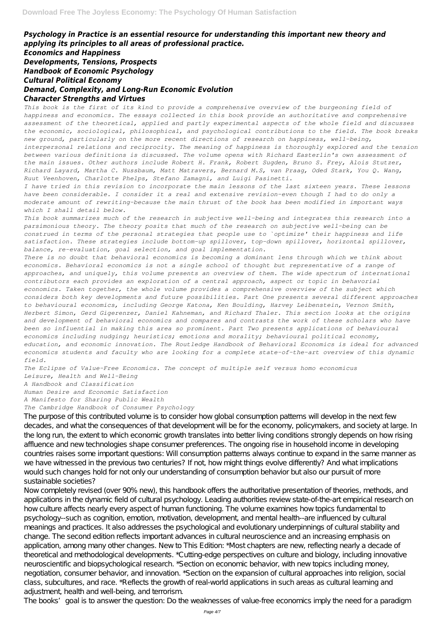## *Psychology in Practice is an essential resource for understanding this important new theory and applying its principles to all areas of professional practice. Economics and Happiness*

## *Developments, Tensions, Prospects Handbook of Economic Psychology Cultural Political Economy Demand, Complexity, and Long-Run Economic Evolution Character Strengths and Virtues*

*This book is the first of its kind to provide a comprehensive overview of the burgeoning field of happiness and economics. The essays collected in this book provide an authoritative and comprehensive assessment of the theoretical, applied and partly experimental aspects of the whole field and discusses the economic, sociological, philosophical, and psychological contributions to the field. The book breaks new ground, particularly on the more recent directions of research on happiness, well-being, interpersonal relations and reciprocity. The meaning of happiness is thoroughly explored and the tension between various definitions is discussed. The volume opens with Richard Easterlin's own assessment of the main issues. Other authors include Robert H. Frank, Robert Sugden, Bruno S. Frey, Alois Stutzer, Richard Layard, Martha C. Nussbaum, Matt Matravers, Bernard M.S, van Praag, Oded Stark, You Q. Wang, Ruut Veenhoven, Charlotte Phelps, Stefano Zamagni, and Luigi Pasinetti.*

*I have tried in this revision to incorporate the main lessons of the last sixteen years. These lessons have been considerable. I consider it a real and extensive revision-even though I had to do only a moderate amount of rewriting-because the main thrust of the book has been modified in important ways which I shall detail below.*

*This book summarizes much of the research in subjective well-being and integrates this research into a parsimonious theory. The theory posits that much of the research on subjective well-being can be construed in terms of the personal strategies that people use to `optimize' their happiness and life satisfaction. These strategies include bottom-up spillover, top-down spillover, horizontal spillover, balance, re-evaluation, goal selection, and goal implementation.*

*There is no doubt that behavioral economics is becoming a dominant lens through which we think about economics. Behavioral economics is not a single school of thought but representative of a range of approaches, and uniquely, this volume presents an overview of them. The wide spectrum of international contributors each provides an exploration of a central approach, aspect or topic in behavorial economics. Taken together, the whole volume provides a comprehensive overview of the subject which considers both key developments and future possibilities. Part One presents several different approaches to behavioural economics, including George Katona, Ken Boulding, Harvey Leibenstein, Vernon Smith, Herbert Simon, Gerd Gigerenzer, Daniel Kahneman, and Richard Thaler. This section looks at the origins and development of behavioral economics and compares and contrasts the work of these scholars who have been so influential in making this area so prominent. Part Two presents applications of behavioural economics including nudging; heuristics; emotions and morality; behavioural political economy, education, and economic innovation. The Routledge Handbook of Behavioral Economics is ideal for advanced economics students and faculty who are looking for a complete state-of-the-art overview of this dynamic field.*

*The Eclipse of Value-Free Economics. The concept of multiple self versus homo economicus*

*Leisure, Health and Well-Being*

*A Handbook and Classification*

*Human Desire and Economic Satisfaction*

*A Manifesto for Sharing Public Wealth*

*The Cambridge Handbook of Consumer Psychology*

The purpose of this contributed volume is to consider how global consumption patterns will develop in the next few decades, and what the consequences of that development will be for the economy, policymakers, and society at large. In the long run, the extent to which economic growth translates into better living conditions strongly depends on how rising affluence and new technologies shape consumer preferences. The ongoing rise in household income in developing countries raises some important questions: Will consumption patterns always continue to expand in the same manner as we have witnessed in the previous two centuries? If not, how might things evolve differently? And what implications would such changes hold for not only our understanding of consumption behavior but also our pursuit of more

sustainable societies?

Now completely revised (over 90% new), this handbook offers the authoritative presentation of theories, methods, and applications in the dynamic field of cultural psychology. Leading authorities review state-of-the-art empirical research on how culture affects nearly every aspect of human functioning. The volume examines how topics fundamental to psychology--such as cognition, emotion, motivation, development, and mental health--are influenced by cultural meanings and practices. It also addresses the psychological and evolutionary underpinnings of cultural stability and change. The second edition reflects important advances in cultural neuroscience and an increasing emphasis on application, among many other changes. New to This Edition: \*Most chapters are new, reflecting nearly a decade of theoretical and methodological developments. \*Cutting-edge perspectives on culture and biology, including innovative neuroscientific and biopsychological research. \*Section on economic behavior, with new topics including money, negotiation, consumer behavior, and innovation. \*Section on the expansion of cultural approaches into religion, social class, subcultures, and race. \*Reflects the growth of real-world applications in such areas as cultural learning and adjustment, health and well-being, and terrorism.

The books' goal is to answer the question: Do the weaknesses of value-free economics imply the need for a paradigm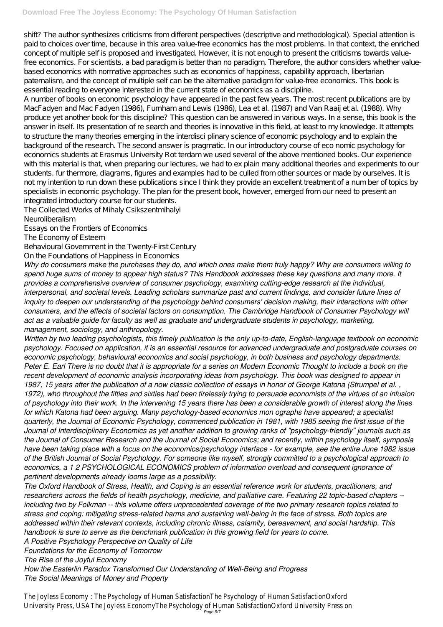shift? The author synthesizes criticisms from different perspectives (descriptive and methodological). Special attention is paid to choices over time, because in this area value-free economics has the most problems. In that context, the enriched concept of multiple self is proposed and investigated. However, it is not enough to present the criticisms towards valuefree economics. For scientists, a bad paradigm is better than no paradigm. Therefore, the author considers whether valuebased economics with normative approaches such as economics of happiness, capability approach, libertarian paternalism, and the concept of multiple self can be the alternative paradigm for value-free economics. This book is essential reading to everyone interested in the current state of economics as a discipline.

A number of books on economic psychology have appeared in the past few years. The most recent publications are by MacFadyen and Mac Fadyen (1986), Furnham and Lewis (1986), Lea et al. (1987) and Van Raaij et al. (1988). Why produce yet another book for this discipline? This question can be answered in various ways. In a sense, this book is the answer in itself. Its presentation of re search and theories is innovative in this field, at least to my knowledge. It attempts to structure the many theories emerging in the interdisci plinary science of economic psychology and to explain the background of the research. The second answer is pragmatic. In our introductory course of eco nomic psychology for economics students at Erasmus University Rot terdam we used several of the above mentioned books. Our experience with this material is that, when preparing our lectures, we had to ex plain many additional theories and experiments to our students. fur thermore, diagrams, figures and examples had to be culled from other sources or made by ourselves. It is not my intention to run down these publications since I think they provide an excellent treatment of a num ber of topics by specialists in economic psychology. The plan for the present book, however, emerged from our need to present an integrated introductory course for our students.

The Collected Works of Mihaly Csikszentmihalyi

Neuroliberalism

Essays on the Frontiers of Economics

The Economy of Esteem

Behavioural Government in the Twenty-First Century

On the Foundations of Happiness in Economics

*Why do consumers make the purchases they do, and which ones make them truly happy? Why are consumers willing to spend huge sums of money to appear high status? This Handbook addresses these key questions and many more. It provides a comprehensive overview of consumer psychology, examining cutting-edge research at the individual, interpersonal, and societal levels. Leading scholars summarize past and current findings, and consider future lines of inquiry to deepen our understanding of the psychology behind consumers' decision making, their interactions with other consumers, and the effects of societal factors on consumption. The Cambridge Handbook of Consumer Psychology will act as a valuable guide for faculty as well as graduate and undergraduate students in psychology, marketing, management, sociology, and anthropology.*

*Written by two leading psychologists, this timely publication is the only up-to-date, English-language textbook on economic psychology. Focused on application, it is an essential resource for advanced undergraduate and postgraduate courses on economic psychology, behavioural economics and social psychology, in both business and psychology departments. Peter E. Earl There is no doubt that it is appropriate for a series on Modern Economic Thought to include a book on the recent development of economic analysis incorporating ideas from psychology. This book was designed to appear in 1987, 15 years after the publication of a now classic collection of essays in honor of George Katona (Strumpel et aI. , 1972), who throughout the fifties and sixties had been tirelessly trying to persuade economists of the virtues of an infusion of psychology into their work. In the intervening 15 years there has been a considerable growth of interest along the lines for which Katona had been arguing. Many psychology-based economics mon ographs have appeared; a specialist quarterly, the Journal of Economic Psychology, commenced publication in 1981, with 1985 seeing the first issue of the Journal of Interdisciplinary Economics as yet another addition to growing ranks of "psychology-friendly" journals such as the Journal of Consumer Research and the Journal of Social Economics; and recently, within psychology itself, symposia have been taking place with a focus on the economics/psychology interface - for example, see the entire June 1982 issue of the British Journal of Social Psychology. For someone like myself, strongly committed to a psychological approach to economics, a 1 2 PSYCHOLOGICAL ECONOMICS problem of information overload and consequent ignorance of*

*pertinent developments already looms large as a possibility.*

*The Oxford Handbook of Stress, Health, and Coping is an essential reference work for students, practitioners, and researchers across the fields of health psychology, medicine, and palliative care. Featuring 22 topic-based chapters - including two by Folkman -- this volume offers unprecedented coverage of the two primary research topics related to stress and coping: mitigating stress-related harms and sustaining well-being in the face of stress. Both topics are addressed within their relevant contexts, including chronic illness, calamity, bereavement, and social hardship. This handbook is sure to serve as the benchmark publication in this growing field for years to come.*

- *A Positive Psychology Perspective on Quality of Life*
- *Foundations for the Economy of Tomorrow*
- *The Rise of the Joyful Economy*
- *How the Easterlin Paradox Transformed Our Understanding of Well-Being and Progress The Social Meanings of Money and Property*

The Joyless Economy : The Psychology of Human SatisfactionThe Psychology of Human SatisfactionOxford University Press, USAThe Joyless EconomyThe Psychology of Human SatisfactionOxford University Press on Page 5/7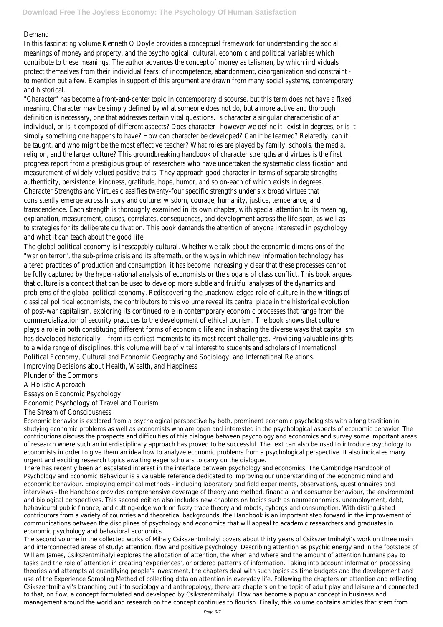## Demand

In this fascinating volume Kenneth O Doyle provides a conceptual framework for understanding the social meanings of money and property, and the psychological, cultural, economic and political variables which contribute to these meanings. The author advances the concept of money as talisman, by which individuals protect themselves from their individual fears: of incompetence, abandonment, disorganization and constraint to mention but a few. Examples in support of this argument are drawn from many social systems, contemporary and historical.

"Character" has become a front-and-center topic in contemporary discourse, but this term does not have a fixed meaning. Character may be simply defined by what someone does not do, but a more active and thorough definition is necessary, one that addresses certain vital questions. Is character a singular characteristic of an individual, or is it composed of different aspects? Does character--however we define it--exist in degrees, or is it simply something one happens to have? How can character be developed? Can it be learned? Relatedly, can it be taught, and who might be the most effective teacher? What roles are played by family, schools, the media, religion, and the larger culture? This groundbreaking handbook of character strengths and virtues is the first progress report from a prestigious group of researchers who have undertaken the systematic classification and measurement of widely valued positive traits. They approach good character in terms of separate strengthsauthenticity, persistence, kindness, gratitude, hope, humor, and so on-each of which exists in degrees. Character Strengths and Virtues classifies twenty-four specific strengths under six broad virtues that consistently emerge across history and culture: wisdom, courage, humanity, justice, temperance, and transcendence. Each strength is thoroughly examined in its own chapter, with special attention to its meaning, explanation, measurement, causes, correlates, consequences, and development across the life span, as well as to strategies for its deliberate cultivation. This book demands the attention of anyone interested in psychology and what it can teach about the good life.

The global political economy is inescapably cultural. Whether we talk about the economic dimensions of the "war on terror", the sub-prime crisis and its aftermath, or the ways in which new information technology has altered practices of production and consumption, it has become increasingly clear that these processes cannot be fully captured by the hyper-rational analysis of economists or the slogans of class conflict. This book argues that culture is a concept that can be used to develop more subtle and fruitful analyses of the dynamics and problems of the global political economy. Rediscovering the unacknowledged role of culture in the writings of classical political economists, the contributors to this volume reveal its central place in the historical evolution of post-war capitalism, exploring its continued role in contemporary economic processes that range from the commercialization of security practices to the development of ethical tourism. The book shows that culture plays a role in both constituting different forms of economic life and in shaping the diverse ways that capitalism has developed historically – from its earliest moments to its most recent challenges. Providing valuable insights to a wide range of disciplines, this volume will be of vital interest to students and scholars of International Political Economy, Cultural and Economic Geography and Sociology, and International Relations. Improving Decisions about Health, Wealth, and Happiness

Plunder of the Commons

A Holistic Approach

Essays on Economic Psychology

Economic Psychology of Travel and Tourism

The Stream of Consciousness

Economic behavior is explored from a psychological perspective by both, prominent economic psychologists with a long tradition in studying economic problems as well as economists who are open and interested in the psychological aspects of economic behavior. The contributions discuss the prospects and difficulties of this dialogue between psychology and economics and survey some important areas of research where such an interdisciplinary approach has proved to be successful. The text can also be used to introduce psychology to economists in order to give them an idea how to analyze economic problems from a psychological perspective. It also indicates many urgent and exciting research topics awaiting eager scholars to carry on the dialogue.

There has recently been an escalated interest in the interface between psychology and economics. The Cambridge Handbook of

Psychology and Economic Behaviour is a valuable reference dedicated to improving our understanding of the economic mind and economic behaviour. Employing empirical methods - including laboratory and field experiments, observations, questionnaires and interviews - the Handbook provides comprehensive coverage of theory and method, financial and consumer behaviour, the environment and biological perspectives. This second edition also includes new chapters on topics such as neuroeconomics, unemployment, debt, behavioural public finance, and cutting-edge work on fuzzy trace theory and robots, cyborgs and consumption. With distinguished contributors from a variety of countries and theoretical backgrounds, the Handbook is an important step forward in the improvement of communications between the disciplines of psychology and economics that will appeal to academic researchers and graduates in economic psychology and behavioral economics.

The second volume in the collected works of Mihaly Csikszentmihalyi covers about thirty years of Csikszentmihalyi's work on three main and interconnected areas of study: attention, flow and positive psychology. Describing attention as psychic energy and in the footsteps of William James, Csikszentmihalyi explores the allocation of attention, the when and where and the amount of attention humans pay to tasks and the role of attention in creating 'experiences', or ordered patterns of information. Taking into account information processing theories and attempts at quantifying people's investment, the chapters deal with such topics as time budgets and the development and use of the Experience Sampling Method of collecting data on attention in everyday life. Following the chapters on attention and reflecting Csikszentmihalyi's branching out into sociology and anthropology, there are chapters on the topic of adult play and leisure and connected to that, on flow, a concept formulated and developed by Csikszentmihalyi. Flow has become a popular concept in business and management around the world and research on the concept continues to flourish. Finally, this volume contains articles that stem from